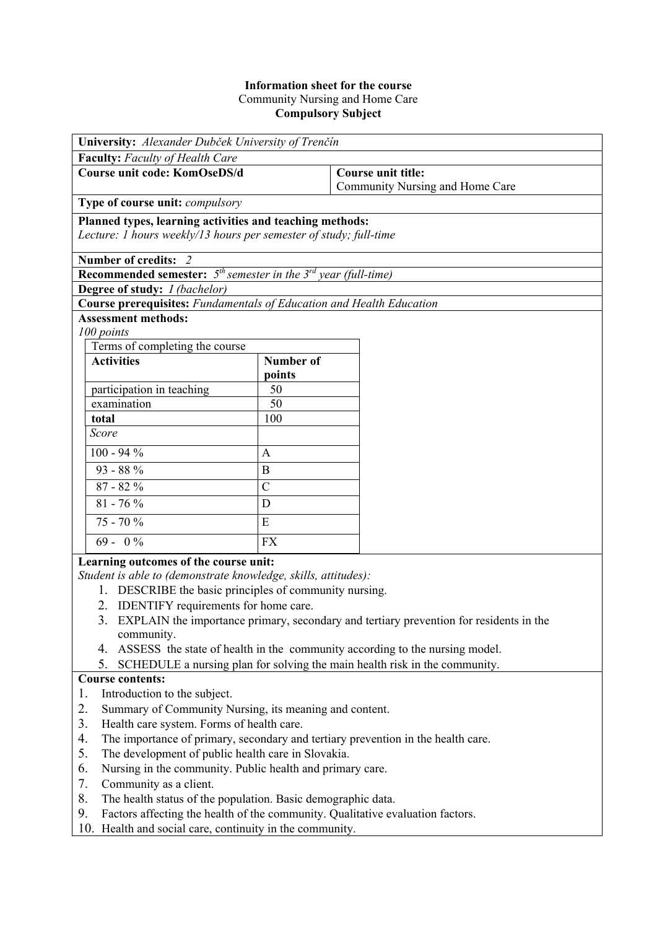## **Information sheet for the course**  Community Nursing and Home Care **Compulsory Subject**

| University: Alexander Dubček University of Trenčín                                                                                                                                                                                                                                                                                                                                                                                                                                                                                                 |                  |                                                       |  |  |  |
|----------------------------------------------------------------------------------------------------------------------------------------------------------------------------------------------------------------------------------------------------------------------------------------------------------------------------------------------------------------------------------------------------------------------------------------------------------------------------------------------------------------------------------------------------|------------------|-------------------------------------------------------|--|--|--|
| Faculty: Faculty of Health Care                                                                                                                                                                                                                                                                                                                                                                                                                                                                                                                    |                  |                                                       |  |  |  |
| <b>Course unit code: KomOseDS/d</b>                                                                                                                                                                                                                                                                                                                                                                                                                                                                                                                |                  | Course unit title:<br>Community Nursing and Home Care |  |  |  |
| <b>Type of course unit: <i>compulsory</i></b>                                                                                                                                                                                                                                                                                                                                                                                                                                                                                                      |                  |                                                       |  |  |  |
| Planned types, learning activities and teaching methods:<br>Lecture: 1 hours weekly/13 hours per semester of study; full-time                                                                                                                                                                                                                                                                                                                                                                                                                      |                  |                                                       |  |  |  |
| Number of credits: 2                                                                                                                                                                                                                                                                                                                                                                                                                                                                                                                               |                  |                                                       |  |  |  |
| <b>Recommended semester:</b> $5th$ semester in the $3rd$ year (full-time)                                                                                                                                                                                                                                                                                                                                                                                                                                                                          |                  |                                                       |  |  |  |
| Degree of study: <i>I (bachelor)</i>                                                                                                                                                                                                                                                                                                                                                                                                                                                                                                               |                  |                                                       |  |  |  |
| <b>Course prerequisites:</b> Fundamentals of Education and Health Education                                                                                                                                                                                                                                                                                                                                                                                                                                                                        |                  |                                                       |  |  |  |
| <b>Assessment methods:</b>                                                                                                                                                                                                                                                                                                                                                                                                                                                                                                                         |                  |                                                       |  |  |  |
| 100 points                                                                                                                                                                                                                                                                                                                                                                                                                                                                                                                                         |                  |                                                       |  |  |  |
| Terms of completing the course                                                                                                                                                                                                                                                                                                                                                                                                                                                                                                                     |                  |                                                       |  |  |  |
| <b>Activities</b>                                                                                                                                                                                                                                                                                                                                                                                                                                                                                                                                  | <b>Number of</b> |                                                       |  |  |  |
|                                                                                                                                                                                                                                                                                                                                                                                                                                                                                                                                                    | points           |                                                       |  |  |  |
| participation in teaching                                                                                                                                                                                                                                                                                                                                                                                                                                                                                                                          | 50               |                                                       |  |  |  |
| examination                                                                                                                                                                                                                                                                                                                                                                                                                                                                                                                                        | 50               |                                                       |  |  |  |
| total                                                                                                                                                                                                                                                                                                                                                                                                                                                                                                                                              | 100              |                                                       |  |  |  |
| Score                                                                                                                                                                                                                                                                                                                                                                                                                                                                                                                                              |                  |                                                       |  |  |  |
| $100 - 94 %$                                                                                                                                                                                                                                                                                                                                                                                                                                                                                                                                       | A                |                                                       |  |  |  |
| $93 - 88 %$                                                                                                                                                                                                                                                                                                                                                                                                                                                                                                                                        | B                |                                                       |  |  |  |
| $87 - 82%$                                                                                                                                                                                                                                                                                                                                                                                                                                                                                                                                         | $\mathcal{C}$    |                                                       |  |  |  |
| $81 - 76 %$                                                                                                                                                                                                                                                                                                                                                                                                                                                                                                                                        | D                |                                                       |  |  |  |
| $\overline{75}$ - 70 %                                                                                                                                                                                                                                                                                                                                                                                                                                                                                                                             | E                |                                                       |  |  |  |
| $69 - 0\%$                                                                                                                                                                                                                                                                                                                                                                                                                                                                                                                                         | <b>FX</b>        |                                                       |  |  |  |
| Learning outcomes of the course unit:                                                                                                                                                                                                                                                                                                                                                                                                                                                                                                              |                  |                                                       |  |  |  |
| Student is able to (demonstrate knowledge, skills, attitudes):<br>1. DESCRIBE the basic principles of community nursing.<br>$\mathbf{I} \mathbf{D} \mathbf{D} \mathbf{I} \mathbf{I} \mathbf{I} \mathbf{I} \mathbf{I} \mathbf{I} \mathbf{I} \mathbf{I} \mathbf{I} \mathbf{I} \mathbf{I} \mathbf{I} \mathbf{I} \mathbf{I} \mathbf{I} \mathbf{I} \mathbf{I} \mathbf{I} \mathbf{I} \mathbf{I} \mathbf{I} \mathbf{I} \mathbf{I} \mathbf{I} \mathbf{I} \mathbf{I} \mathbf{I} \mathbf{I} \mathbf{I} \mathbf{I} \mathbf{I} \mathbf{I} \mathbf{I} \mathbf{$ |                  |                                                       |  |  |  |

- 2. IDENTIFY requirements for home care.
- 3. EXPLAIN the importance primary, secondary and tertiary prevention for residents in the community.
- 4. ASSESS the state of health in the community according to the nursing model.
- 5. SCHEDULE a nursing plan for solving the main health risk in the community.

## **Course contents:**

- 1. Introduction to the subject.
- 2. Summary of Community Nursing, its meaning and content.
- 3. Health care system. Forms of health care.
- 4. The importance of primary, secondary and tertiary prevention in the health care.
- 5. The development of public health care in Slovakia.
- 6. Nursing in the community. Public health and primary care.
- 7. Community as a client.
- 8. The health status of the population. Basic demographic data.
- 9. Factors affecting the health of the community. Qualitative evaluation factors.
- 10. Health and social care, continuity in the community.